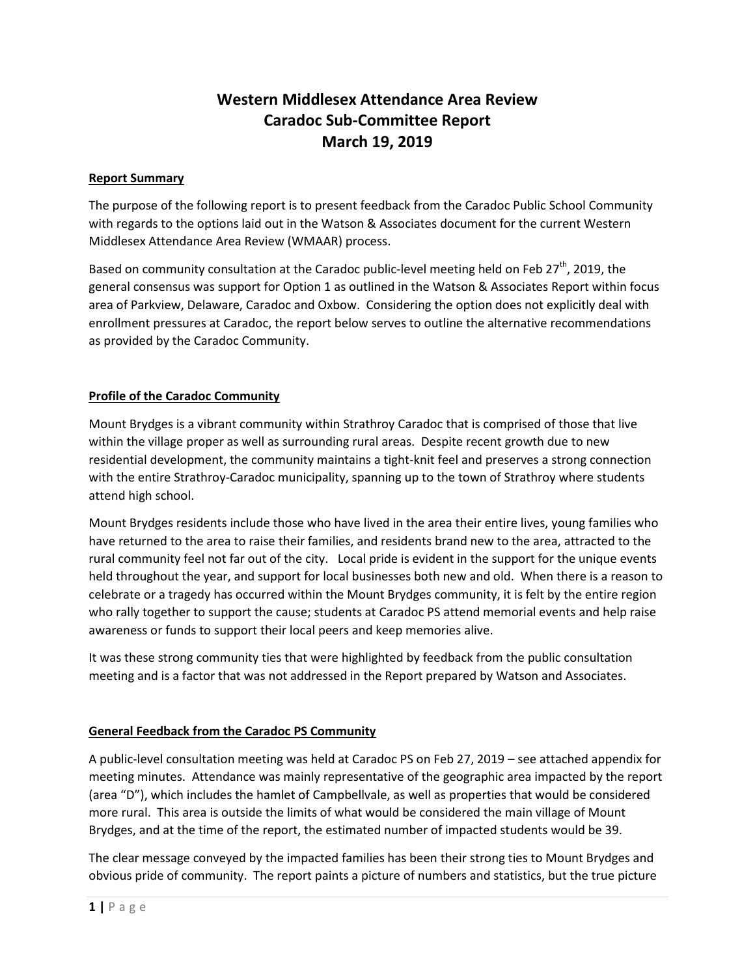# **Western Middlesex Attendance Area Review Caradoc Sub-Committee Report March 19, 2019**

#### **Report Summary**

The purpose of the following report is to present feedback from the Caradoc Public School Community with regards to the options laid out in the Watson & Associates document for the current Western Middlesex Attendance Area Review (WMAAR) process.

Based on community consultation at the Caradoc public-level meeting held on Feb  $27<sup>th</sup>$ , 2019, the general consensus was support for Option 1 as outlined in the Watson & Associates Report within focus area of Parkview, Delaware, Caradoc and Oxbow. Considering the option does not explicitly deal with enrollment pressures at Caradoc, the report below serves to outline the alternative recommendations as provided by the Caradoc Community.

# **Profile of the Caradoc Community**

Mount Brydges is a vibrant community within Strathroy Caradoc that is comprised of those that live within the village proper as well as surrounding rural areas. Despite recent growth due to new residential development, the community maintains a tight-knit feel and preserves a strong connection with the entire Strathroy-Caradoc municipality, spanning up to the town of Strathroy where students attend high school.

Mount Brydges residents include those who have lived in the area their entire lives, young families who have returned to the area to raise their families, and residents brand new to the area, attracted to the rural community feel not far out of the city. Local pride is evident in the support for the unique events held throughout the year, and support for local businesses both new and old. When there is a reason to celebrate or a tragedy has occurred within the Mount Brydges community, it is felt by the entire region who rally together to support the cause; students at Caradoc PS attend memorial events and help raise awareness or funds to support their local peers and keep memories alive.

It was these strong community ties that were highlighted by feedback from the public consultation meeting and is a factor that was not addressed in the Report prepared by Watson and Associates.

#### **General Feedback from the Caradoc PS Community**

A public-level consultation meeting was held at Caradoc PS on Feb 27, 2019 – see attached appendix for meeting minutes. Attendance was mainly representative of the geographic area impacted by the report (area "D"), which includes the hamlet of Campbellvale, as well as properties that would be considered more rural. This area is outside the limits of what would be considered the main village of Mount Brydges, and at the time of the report, the estimated number of impacted students would be 39.

The clear message conveyed by the impacted families has been their strong ties to Mount Brydges and obvious pride of community. The report paints a picture of numbers and statistics, but the true picture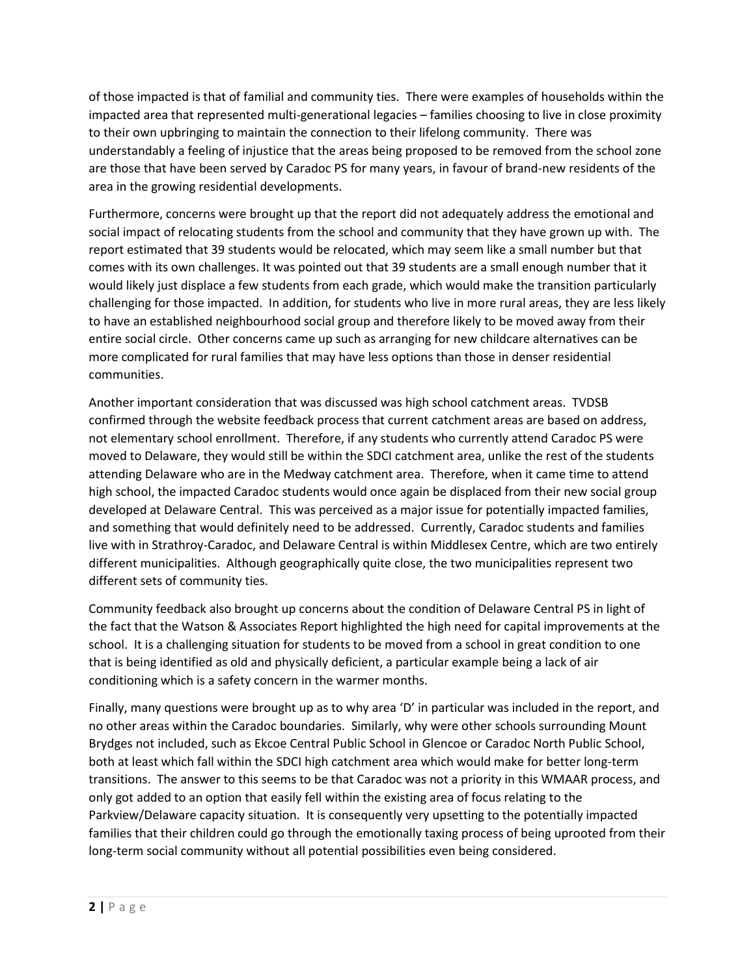of those impacted is that of familial and community ties. There were examples of households within the impacted area that represented multi-generational legacies – families choosing to live in close proximity to their own upbringing to maintain the connection to their lifelong community. There was understandably a feeling of injustice that the areas being proposed to be removed from the school zone are those that have been served by Caradoc PS for many years, in favour of brand-new residents of the area in the growing residential developments.

Furthermore, concerns were brought up that the report did not adequately address the emotional and social impact of relocating students from the school and community that they have grown up with. The report estimated that 39 students would be relocated, which may seem like a small number but that comes with its own challenges. It was pointed out that 39 students are a small enough number that it would likely just displace a few students from each grade, which would make the transition particularly challenging for those impacted. In addition, for students who live in more rural areas, they are less likely to have an established neighbourhood social group and therefore likely to be moved away from their entire social circle. Other concerns came up such as arranging for new childcare alternatives can be more complicated for rural families that may have less options than those in denser residential communities.

Another important consideration that was discussed was high school catchment areas. TVDSB confirmed through the website feedback process that current catchment areas are based on address, not elementary school enrollment. Therefore, if any students who currently attend Caradoc PS were moved to Delaware, they would still be within the SDCI catchment area, unlike the rest of the students attending Delaware who are in the Medway catchment area. Therefore, when it came time to attend high school, the impacted Caradoc students would once again be displaced from their new social group developed at Delaware Central. This was perceived as a major issue for potentially impacted families, and something that would definitely need to be addressed. Currently, Caradoc students and families live with in Strathroy-Caradoc, and Delaware Central is within Middlesex Centre, which are two entirely different municipalities. Although geographically quite close, the two municipalities represent two different sets of community ties.

Community feedback also brought up concerns about the condition of Delaware Central PS in light of the fact that the Watson & Associates Report highlighted the high need for capital improvements at the school. It is a challenging situation for students to be moved from a school in great condition to one that is being identified as old and physically deficient, a particular example being a lack of air conditioning which is a safety concern in the warmer months.

Finally, many questions were brought up as to why area 'D' in particular was included in the report, and no other areas within the Caradoc boundaries. Similarly, why were other schools surrounding Mount Brydges not included, such as Ekcoe Central Public School in Glencoe or Caradoc North Public School, both at least which fall within the SDCI high catchment area which would make for better long-term transitions. The answer to this seems to be that Caradoc was not a priority in this WMAAR process, and only got added to an option that easily fell within the existing area of focus relating to the Parkview/Delaware capacity situation. It is consequently very upsetting to the potentially impacted families that their children could go through the emotionally taxing process of being uprooted from their long-term social community without all potential possibilities even being considered.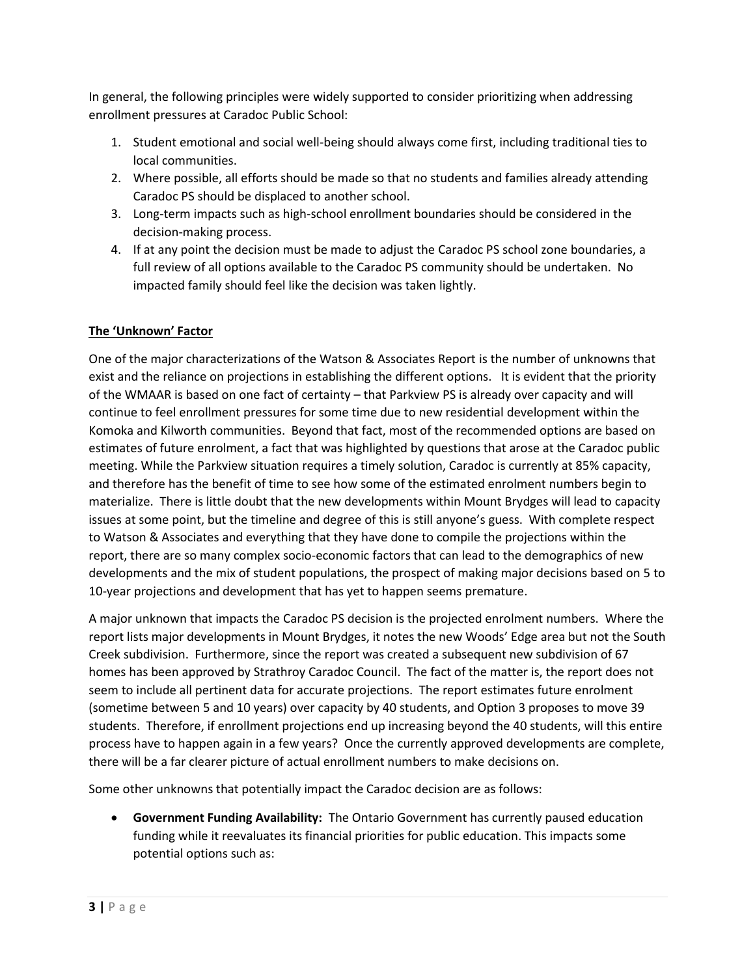In general, the following principles were widely supported to consider prioritizing when addressing enrollment pressures at Caradoc Public School:

- 1. Student emotional and social well-being should always come first, including traditional ties to local communities.
- 2. Where possible, all efforts should be made so that no students and families already attending Caradoc PS should be displaced to another school.
- 3. Long-term impacts such as high-school enrollment boundaries should be considered in the decision-making process.
- 4. If at any point the decision must be made to adjust the Caradoc PS school zone boundaries, a full review of all options available to the Caradoc PS community should be undertaken. No impacted family should feel like the decision was taken lightly.

# **The 'Unknown' Factor**

One of the major characterizations of the Watson & Associates Report is the number of unknowns that exist and the reliance on projections in establishing the different options. It is evident that the priority of the WMAAR is based on one fact of certainty – that Parkview PS is already over capacity and will continue to feel enrollment pressures for some time due to new residential development within the Komoka and Kilworth communities. Beyond that fact, most of the recommended options are based on estimates of future enrolment, a fact that was highlighted by questions that arose at the Caradoc public meeting. While the Parkview situation requires a timely solution, Caradoc is currently at 85% capacity, and therefore has the benefit of time to see how some of the estimated enrolment numbers begin to materialize. There is little doubt that the new developments within Mount Brydges will lead to capacity issues at some point, but the timeline and degree of this is still anyone's guess. With complete respect to Watson & Associates and everything that they have done to compile the projections within the report, there are so many complex socio-economic factors that can lead to the demographics of new developments and the mix of student populations, the prospect of making major decisions based on 5 to 10-year projections and development that has yet to happen seems premature.

A major unknown that impacts the Caradoc PS decision is the projected enrolment numbers. Where the report lists major developments in Mount Brydges, it notes the new Woods' Edge area but not the South Creek subdivision. Furthermore, since the report was created a subsequent new subdivision of 67 homes has been approved by Strathroy Caradoc Council. The fact of the matter is, the report does not seem to include all pertinent data for accurate projections. The report estimates future enrolment (sometime between 5 and 10 years) over capacity by 40 students, and Option 3 proposes to move 39 students. Therefore, if enrollment projections end up increasing beyond the 40 students, will this entire process have to happen again in a few years? Once the currently approved developments are complete, there will be a far clearer picture of actual enrollment numbers to make decisions on.

Some other unknowns that potentially impact the Caradoc decision are as follows:

 **Government Funding Availability:** The Ontario Government has currently paused education funding while it reevaluates its financial priorities for public education. This impacts some potential options such as: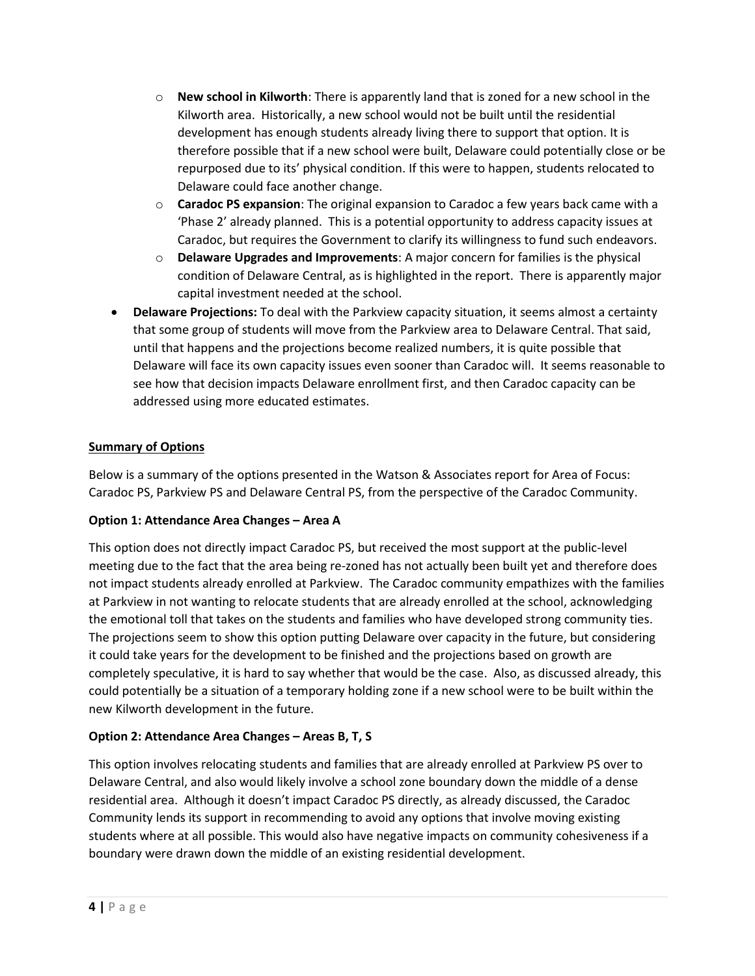- o **New school in Kilworth**: There is apparently land that is zoned for a new school in the Kilworth area. Historically, a new school would not be built until the residential development has enough students already living there to support that option. It is therefore possible that if a new school were built, Delaware could potentially close or be repurposed due to its' physical condition. If this were to happen, students relocated to Delaware could face another change.
- o **Caradoc PS expansion**: The original expansion to Caradoc a few years back came with a 'Phase 2' already planned. This is a potential opportunity to address capacity issues at Caradoc, but requires the Government to clarify its willingness to fund such endeavors.
- o **Delaware Upgrades and Improvements**: A major concern for families is the physical condition of Delaware Central, as is highlighted in the report. There is apparently major capital investment needed at the school.
- **Delaware Projections:** To deal with the Parkview capacity situation, it seems almost a certainty that some group of students will move from the Parkview area to Delaware Central. That said, until that happens and the projections become realized numbers, it is quite possible that Delaware will face its own capacity issues even sooner than Caradoc will. It seems reasonable to see how that decision impacts Delaware enrollment first, and then Caradoc capacity can be addressed using more educated estimates.

# **Summary of Options**

Below is a summary of the options presented in the Watson & Associates report for Area of Focus: Caradoc PS, Parkview PS and Delaware Central PS, from the perspective of the Caradoc Community.

# **Option 1: Attendance Area Changes – Area A**

This option does not directly impact Caradoc PS, but received the most support at the public-level meeting due to the fact that the area being re-zoned has not actually been built yet and therefore does not impact students already enrolled at Parkview. The Caradoc community empathizes with the families at Parkview in not wanting to relocate students that are already enrolled at the school, acknowledging the emotional toll that takes on the students and families who have developed strong community ties. The projections seem to show this option putting Delaware over capacity in the future, but considering it could take years for the development to be finished and the projections based on growth are completely speculative, it is hard to say whether that would be the case. Also, as discussed already, this could potentially be a situation of a temporary holding zone if a new school were to be built within the new Kilworth development in the future.

# **Option 2: Attendance Area Changes – Areas B, T, S**

This option involves relocating students and families that are already enrolled at Parkview PS over to Delaware Central, and also would likely involve a school zone boundary down the middle of a dense residential area. Although it doesn't impact Caradoc PS directly, as already discussed, the Caradoc Community lends its support in recommending to avoid any options that involve moving existing students where at all possible. This would also have negative impacts on community cohesiveness if a boundary were drawn down the middle of an existing residential development.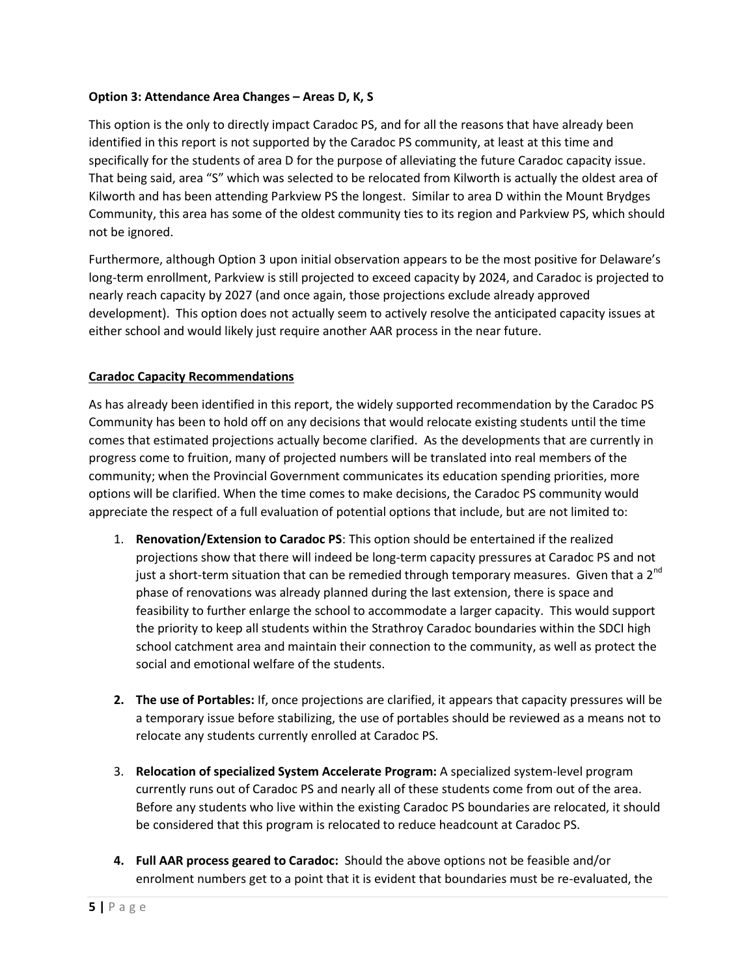#### **Option 3: Attendance Area Changes – Areas D, K, S**

This option is the only to directly impact Caradoc PS, and for all the reasons that have already been identified in this report is not supported by the Caradoc PS community, at least at this time and specifically for the students of area D for the purpose of alleviating the future Caradoc capacity issue. That being said, area "S" which was selected to be relocated from Kilworth is actually the oldest area of Kilworth and has been attending Parkview PS the longest. Similar to area D within the Mount Brydges Community, this area has some of the oldest community ties to its region and Parkview PS, which should not be ignored.

Furthermore, although Option 3 upon initial observation appears to be the most positive for Delaware's long-term enrollment, Parkview is still projected to exceed capacity by 2024, and Caradoc is projected to nearly reach capacity by 2027 (and once again, those projections exclude already approved development). This option does not actually seem to actively resolve the anticipated capacity issues at either school and would likely just require another AAR process in the near future.

# **Caradoc Capacity Recommendations**

As has already been identified in this report, the widely supported recommendation by the Caradoc PS Community has been to hold off on any decisions that would relocate existing students until the time comes that estimated projections actually become clarified. As the developments that are currently in progress come to fruition, many of projected numbers will be translated into real members of the community; when the Provincial Government communicates its education spending priorities, more options will be clarified. When the time comes to make decisions, the Caradoc PS community would appreciate the respect of a full evaluation of potential options that include, but are not limited to:

- 1. **Renovation/Extension to Caradoc PS**: This option should be entertained if the realized projections show that there will indeed be long-term capacity pressures at Caradoc PS and not just a short-term situation that can be remedied through temporary measures. Given that a  $2^{nd}$ phase of renovations was already planned during the last extension, there is space and feasibility to further enlarge the school to accommodate a larger capacity. This would support the priority to keep all students within the Strathroy Caradoc boundaries within the SDCI high school catchment area and maintain their connection to the community, as well as protect the social and emotional welfare of the students.
- **2. The use of Portables:** If, once projections are clarified, it appears that capacity pressures will be a temporary issue before stabilizing, the use of portables should be reviewed as a means not to relocate any students currently enrolled at Caradoc PS.
- 3. **Relocation of specialized System Accelerate Program:** A specialized system-level program currently runs out of Caradoc PS and nearly all of these students come from out of the area. Before any students who live within the existing Caradoc PS boundaries are relocated, it should be considered that this program is relocated to reduce headcount at Caradoc PS.
- **4. Full AAR process geared to Caradoc:** Should the above options not be feasible and/or enrolment numbers get to a point that it is evident that boundaries must be re-evaluated, the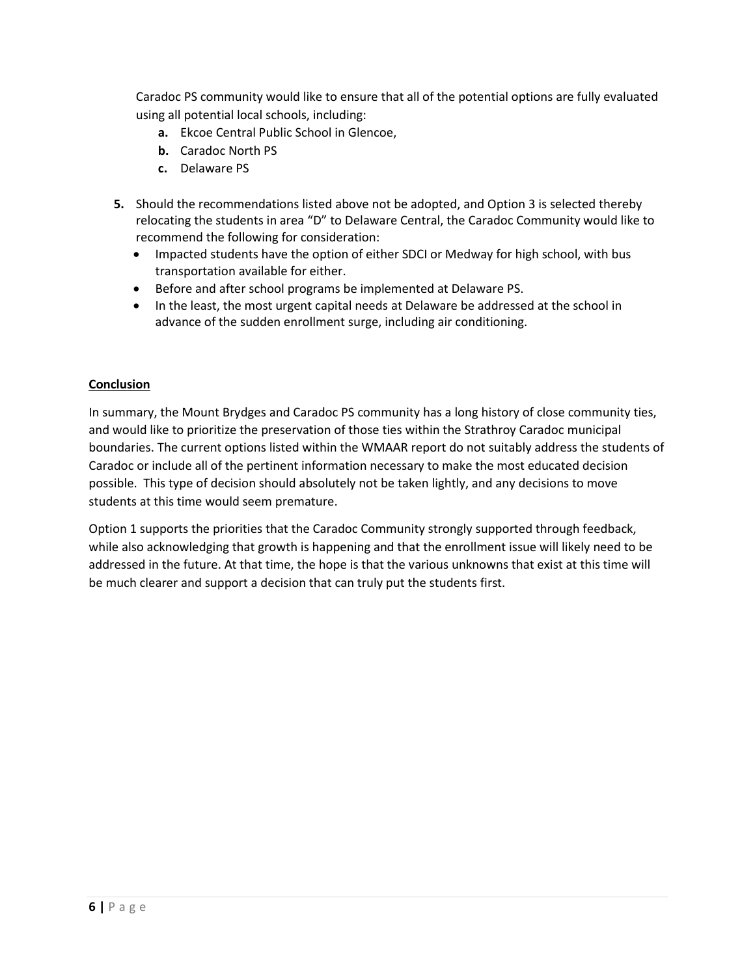Caradoc PS community would like to ensure that all of the potential options are fully evaluated using all potential local schools, including:

- **a.** Ekcoe Central Public School in Glencoe,
- **b.** Caradoc North PS
- **c.** Delaware PS
- **5.** Should the recommendations listed above not be adopted, and Option 3 is selected thereby relocating the students in area "D" to Delaware Central, the Caradoc Community would like to recommend the following for consideration:
	- Impacted students have the option of either SDCI or Medway for high school, with bus transportation available for either.
	- Before and after school programs be implemented at Delaware PS.
	- In the least, the most urgent capital needs at Delaware be addressed at the school in advance of the sudden enrollment surge, including air conditioning.

#### **Conclusion**

In summary, the Mount Brydges and Caradoc PS community has a long history of close community ties, and would like to prioritize the preservation of those ties within the Strathroy Caradoc municipal boundaries. The current options listed within the WMAAR report do not suitably address the students of Caradoc or include all of the pertinent information necessary to make the most educated decision possible. This type of decision should absolutely not be taken lightly, and any decisions to move students at this time would seem premature.

Option 1 supports the priorities that the Caradoc Community strongly supported through feedback, while also acknowledging that growth is happening and that the enrollment issue will likely need to be addressed in the future. At that time, the hope is that the various unknowns that exist at this time will be much clearer and support a decision that can truly put the students first.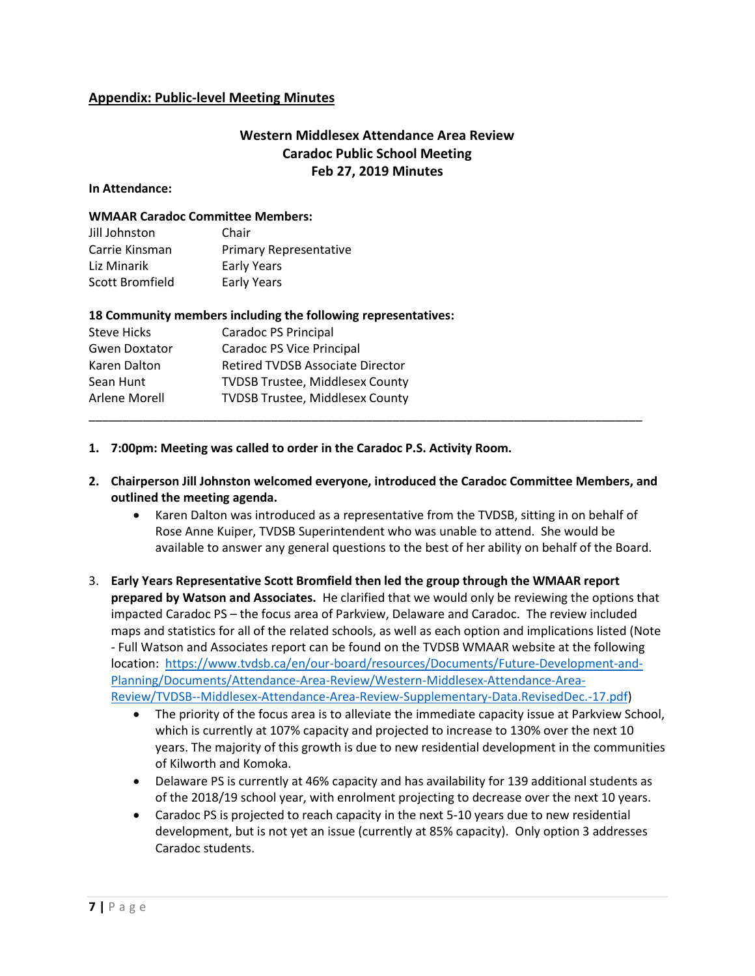# **Appendix: Public-level Meeting Minutes**

# **Western Middlesex Attendance Area Review Caradoc Public School Meeting Feb 27, 2019 Minutes**

#### **In Attendance:**

#### **WMAAR Caradoc Committee Members:**

| Jill Johnston   | Chair                         |
|-----------------|-------------------------------|
| Carrie Kinsman  | <b>Primary Representative</b> |
| Liz Minarik     | <b>Early Years</b>            |
| Scott Bromfield | <b>Early Years</b>            |

#### **18 Community members including the following representatives:**

| Steve Hicks          | Caradoc PS Principal                    |  |
|----------------------|-----------------------------------------|--|
| <b>Gwen Doxtator</b> | Caradoc PS Vice Principal               |  |
| Karen Dalton         | <b>Retired TVDSB Associate Director</b> |  |
| Sean Hunt            | <b>TVDSB Trustee, Middlesex County</b>  |  |
| Arlene Morell        | <b>TVDSB Trustee, Middlesex County</b>  |  |
|                      |                                         |  |

**1. 7:00pm: Meeting was called to order in the Caradoc P.S. Activity Room.**

#### **2. Chairperson Jill Johnston welcomed everyone, introduced the Caradoc Committee Members, and outlined the meeting agenda.**

- Karen Dalton was introduced as a representative from the TVDSB, sitting in on behalf of Rose Anne Kuiper, TVDSB Superintendent who was unable to attend. She would be available to answer any general questions to the best of her ability on behalf of the Board.
- 3. **Early Years Representative Scott Bromfield then led the group through the WMAAR report prepared by Watson and Associates.** He clarified that we would only be reviewing the options that impacted Caradoc PS – the focus area of Parkview, Delaware and Caradoc. The review included maps and statistics for all of the related schools, as well as each option and implications listed (Note - Full Watson and Associates report can be found on the TVDSB WMAAR website at the following location: [https://www.tvdsb.ca/en/our-board/resources/Documents/Future-Development-and-](https://www.tvdsb.ca/en/our-board/resources/Documents/Future-Development-and-Planning/Documents/Attendance-Area-Review/Western-Middlesex-Attendance-Area-Review/TVDSB--Middlesex-Attendance-Area-Review-Supplementary-Data.RevisedDec.-17.pdf)[Planning/Documents/Attendance-Area-Review/Western-Middlesex-Attendance-Area-](https://www.tvdsb.ca/en/our-board/resources/Documents/Future-Development-and-Planning/Documents/Attendance-Area-Review/Western-Middlesex-Attendance-Area-Review/TVDSB--Middlesex-Attendance-Area-Review-Supplementary-Data.RevisedDec.-17.pdf)[Review/TVDSB--Middlesex-Attendance-Area-Review-Supplementary-Data.RevisedDec.-17.pdf\)](https://www.tvdsb.ca/en/our-board/resources/Documents/Future-Development-and-Planning/Documents/Attendance-Area-Review/Western-Middlesex-Attendance-Area-Review/TVDSB--Middlesex-Attendance-Area-Review-Supplementary-Data.RevisedDec.-17.pdf)
	- The priority of the focus area is to alleviate the immediate capacity issue at Parkview School, which is currently at 107% capacity and projected to increase to 130% over the next 10 years. The majority of this growth is due to new residential development in the communities of Kilworth and Komoka.
	- Delaware PS is currently at 46% capacity and has availability for 139 additional students as of the 2018/19 school year, with enrolment projecting to decrease over the next 10 years.
	- Caradoc PS is projected to reach capacity in the next 5-10 years due to new residential development, but is not yet an issue (currently at 85% capacity). Only option 3 addresses Caradoc students.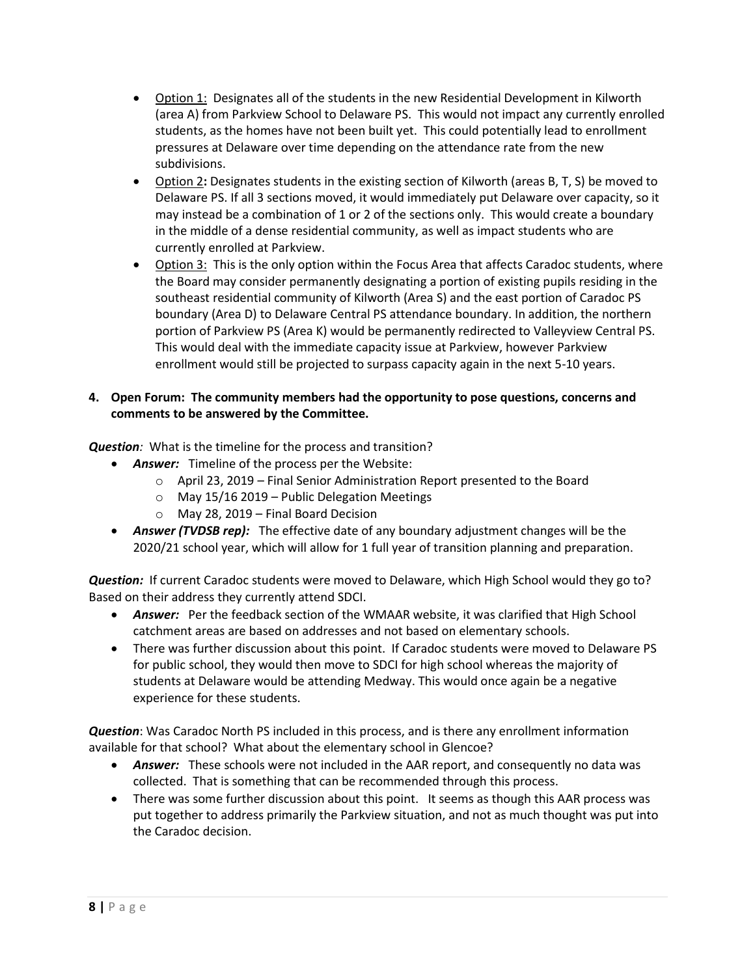- Option 1: Designates all of the students in the new Residential Development in Kilworth (area A) from Parkview School to Delaware PS. This would not impact any currently enrolled students, as the homes have not been built yet. This could potentially lead to enrollment pressures at Delaware over time depending on the attendance rate from the new subdivisions.
- Option 2**:** Designates students in the existing section of Kilworth (areas B, T, S) be moved to Delaware PS. If all 3 sections moved, it would immediately put Delaware over capacity, so it may instead be a combination of 1 or 2 of the sections only. This would create a boundary in the middle of a dense residential community, as well as impact students who are currently enrolled at Parkview.
- Option 3: This is the only option within the Focus Area that affects Caradoc students, where the Board may consider permanently designating a portion of existing pupils residing in the southeast residential community of Kilworth (Area S) and the east portion of Caradoc PS boundary (Area D) to Delaware Central PS attendance boundary. In addition, the northern portion of Parkview PS (Area K) would be permanently redirected to Valleyview Central PS. This would deal with the immediate capacity issue at Parkview, however Parkview enrollment would still be projected to surpass capacity again in the next 5-10 years.

#### **4. Open Forum: The community members had the opportunity to pose questions, concerns and comments to be answered by the Committee.**

*Question:* What is the timeline for the process and transition?

- *Answer:* Timeline of the process per the Website:
	- o April 23, 2019 Final Senior Administration Report presented to the Board
	- $\circ$  May 15/16 2019 Public Delegation Meetings
	- o May 28, 2019 Final Board Decision
- *Answer (TVDSB rep):* The effective date of any boundary adjustment changes will be the 2020/21 school year, which will allow for 1 full year of transition planning and preparation.

*Question:* If current Caradoc students were moved to Delaware, which High School would they go to? Based on their address they currently attend SDCI.

- *Answer:* Per the feedback section of the WMAAR website, it was clarified that High School catchment areas are based on addresses and not based on elementary schools.
- There was further discussion about this point. If Caradoc students were moved to Delaware PS for public school, they would then move to SDCI for high school whereas the majority of students at Delaware would be attending Medway. This would once again be a negative experience for these students.

*Question*: Was Caradoc North PS included in this process, and is there any enrollment information available for that school? What about the elementary school in Glencoe?

- *Answer:* These schools were not included in the AAR report, and consequently no data was collected. That is something that can be recommended through this process.
- There was some further discussion about this point. It seems as though this AAR process was put together to address primarily the Parkview situation, and not as much thought was put into the Caradoc decision.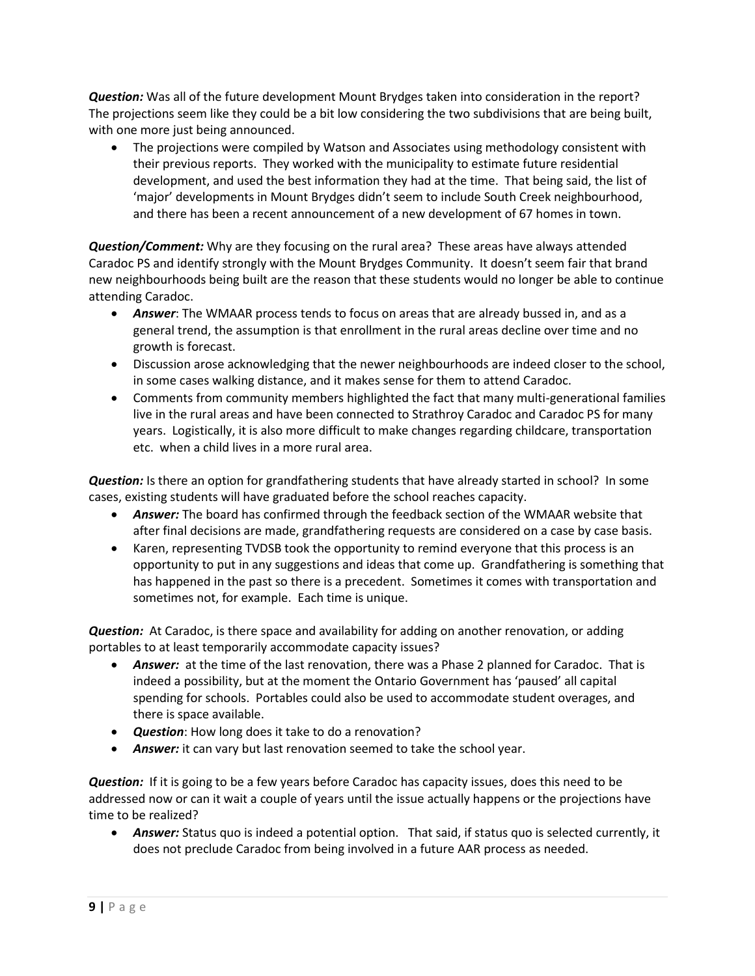*Question:* Was all of the future development Mount Brydges taken into consideration in the report? The projections seem like they could be a bit low considering the two subdivisions that are being built, with one more just being announced.

 The projections were compiled by Watson and Associates using methodology consistent with their previous reports. They worked with the municipality to estimate future residential development, and used the best information they had at the time. That being said, the list of 'major' developments in Mount Brydges didn't seem to include South Creek neighbourhood, and there has been a recent announcement of a new development of 67 homes in town.

*Question/Comment:* Why are they focusing on the rural area? These areas have always attended Caradoc PS and identify strongly with the Mount Brydges Community. It doesn't seem fair that brand new neighbourhoods being built are the reason that these students would no longer be able to continue attending Caradoc.

- *Answer*: The WMAAR process tends to focus on areas that are already bussed in, and as a general trend, the assumption is that enrollment in the rural areas decline over time and no growth is forecast.
- Discussion arose acknowledging that the newer neighbourhoods are indeed closer to the school, in some cases walking distance, and it makes sense for them to attend Caradoc.
- Comments from community members highlighted the fact that many multi-generational families live in the rural areas and have been connected to Strathroy Caradoc and Caradoc PS for many years. Logistically, it is also more difficult to make changes regarding childcare, transportation etc. when a child lives in a more rural area.

*Question:* Is there an option for grandfathering students that have already started in school? In some cases, existing students will have graduated before the school reaches capacity.

- *Answer:* The board has confirmed through the feedback section of the WMAAR website that after final decisions are made, grandfathering requests are considered on a case by case basis.
- Karen, representing TVDSB took the opportunity to remind everyone that this process is an opportunity to put in any suggestions and ideas that come up. Grandfathering is something that has happened in the past so there is a precedent. Sometimes it comes with transportation and sometimes not, for example. Each time is unique.

*Question:* At Caradoc, is there space and availability for adding on another renovation, or adding portables to at least temporarily accommodate capacity issues?

- *Answer:* at the time of the last renovation, there was a Phase 2 planned for Caradoc. That is indeed a possibility, but at the moment the Ontario Government has 'paused' all capital spending for schools. Portables could also be used to accommodate student overages, and there is space available.
- *Question*: How long does it take to do a renovation?
- *Answer:* it can vary but last renovation seemed to take the school year.

*Question:* If it is going to be a few years before Caradoc has capacity issues, does this need to be addressed now or can it wait a couple of years until the issue actually happens or the projections have time to be realized?

 *Answer:* Status quo is indeed a potential option. That said, if status quo is selected currently, it does not preclude Caradoc from being involved in a future AAR process as needed.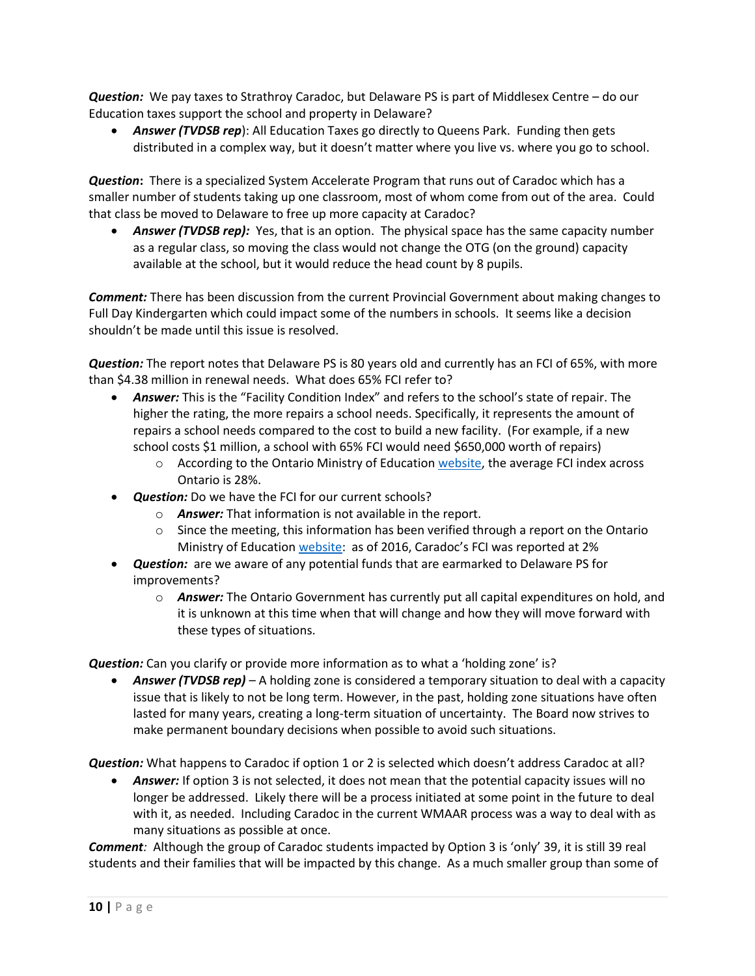*Question:*We pay taxes to Strathroy Caradoc, but Delaware PS is part of Middlesex Centre – do our Education taxes support the school and property in Delaware?

 *Answer (TVDSB rep*): All Education Taxes go directly to Queens Park. Funding then gets distributed in a complex way, but it doesn't matter where you live vs. where you go to school.

*Question***:** There is a specialized System Accelerate Program that runs out of Caradoc which has a smaller number of students taking up one classroom, most of whom come from out of the area. Could that class be moved to Delaware to free up more capacity at Caradoc?

 *Answer (TVDSB rep):* Yes, that is an option. The physical space has the same capacity number as a regular class, so moving the class would not change the OTG (on the ground) capacity available at the school, but it would reduce the head count by 8 pupils.

*Comment:* There has been discussion from the current Provincial Government about making changes to Full Day Kindergarten which could impact some of the numbers in schools. It seems like a decision shouldn't be made until this issue is resolved.

*Question:* The report notes that Delaware PS is 80 years old and currently has an FCI of 65%, with more than \$4.38 million in renewal needs. What does 65% FCI refer to?

- *Answer:* This is the "Facility Condition Index" and refers to the school's state of repair. The higher the rating, the more repairs a school needs. Specifically, it represents the amount of repairs a school needs compared to the cost to build a new facility. (For example, if a new school costs \$1 million, a school with 65% FCI would need \$650,000 worth of repairs)
	- $\circ$  According to the Ontario Ministry of Educatio[n website,](http://www.edu.gov.on.ca/eng/parents/fci.html) the average FCI index across Ontario is 28%.
- *Question:* Do we have the FCI for our current schools?
	- o *Answer:* That information is not available in the report.
	- $\circ$  Since the meeting, this information has been verified through a report on the Ontario Ministry of Education [website](http://www.edu.gov.on.ca/eng/parents/renewal_data_2017.html): as of 2016, Caradoc's FCI was reported at 2%
- *Question:* are we aware of any potential funds that are earmarked to Delaware PS for improvements?
	- o *Answer:* The Ontario Government has currently put all capital expenditures on hold, and it is unknown at this time when that will change and how they will move forward with these types of situations.

*Question:* Can you clarify or provide more information as to what a 'holding zone' is?

 *Answer (TVDSB rep)* – A holding zone is considered a temporary situation to deal with a capacity issue that is likely to not be long term. However, in the past, holding zone situations have often lasted for many years, creating a long-term situation of uncertainty. The Board now strives to make permanent boundary decisions when possible to avoid such situations.

*Question:* What happens to Caradoc if option 1 or 2 is selected which doesn't address Caradoc at all?

 *Answer:* If option 3 is not selected, it does not mean that the potential capacity issues will no longer be addressed. Likely there will be a process initiated at some point in the future to deal with it, as needed. Including Caradoc in the current WMAAR process was a way to deal with as many situations as possible at once.

*Comment:* Although the group of Caradoc students impacted by Option 3 is 'only' 39, it is still 39 real students and their families that will be impacted by this change. As a much smaller group than some of